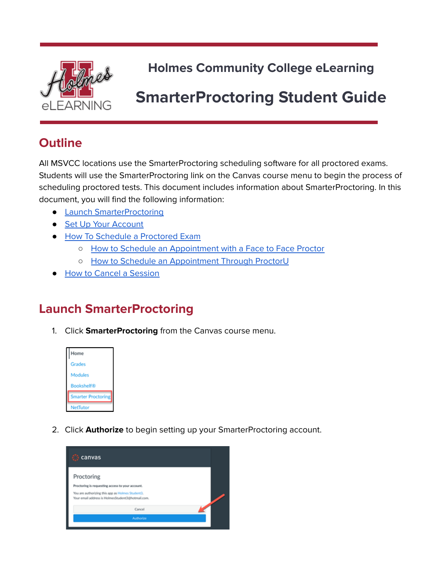

**Holmes Community College eLearning**

# **SmarterProctoring Student Guide**

## **Outline**

All MSVCC locations use the SmarterProctoring scheduling software for all proctored exams. Students will use the SmarterProctoring link on the Canvas course menu to begin the process of scheduling proctored tests. This document includes information about SmarterProctoring. In this document, you will find the following information:

- Launch [SmarterProctoring](#page-0-0)
- Set Up Your [Account](#page-1-0)
- How To Schedule a [Proctored](#page-2-0) Exam
	- How to Schedule an [Appointment](#page-3-0) with a Face to Face Proctor
	- o How to Schedule an [Appointment](#page-5-0) Through ProctorU
- How to Cancel a [Session](#page-8-0)

## <span id="page-0-0"></span>**Launch SmarterProctoring**

1. Click **SmarterProctoring** from the Canvas course menu.



2. Click **Authorize** to begin setting up your SmarterProctoring account.

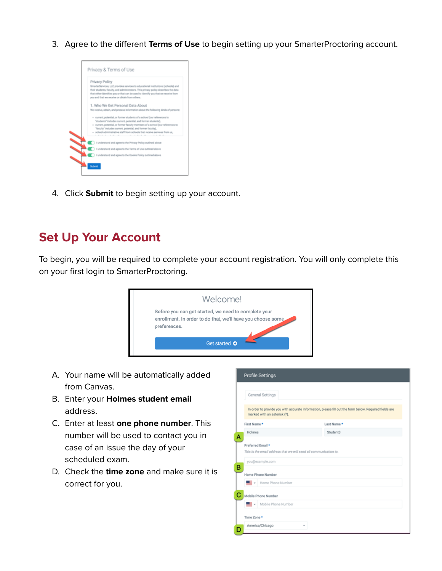3. Agree to the different **Terms of Use** to begin setting up your SmarterProctoring account.



4. Click **Submit** to begin setting up your account.

#### <span id="page-1-0"></span>**Set Up Your Account**

To begin, you will be required to complete your account registration. You will only complete this on your first login to SmarterProctoring.



- A. Your name will be automatically added from Canvas.
- B. Enter your **Holmes student email** address.
- C. Enter at least **one phone number**. This number will be used to contact you in case of an issue the day of your scheduled exam.
- D. Check the **time zone** and make sure it is correct for you.

| General Settings    |                              |                                                                                                        |
|---------------------|------------------------------|--------------------------------------------------------------------------------------------------------|
|                     | marked with an asterisk (*). | In order to provide you with accurate information, please fill out the form below. Required fields are |
| First Name*         |                              | Last Name*                                                                                             |
| Holmes              |                              | Student3                                                                                               |
| you@example.com     |                              |                                                                                                        |
| Home Phone Number   |                              |                                                                                                        |
|                     | Home Phone Number            |                                                                                                        |
| Mobile Phone Number |                              |                                                                                                        |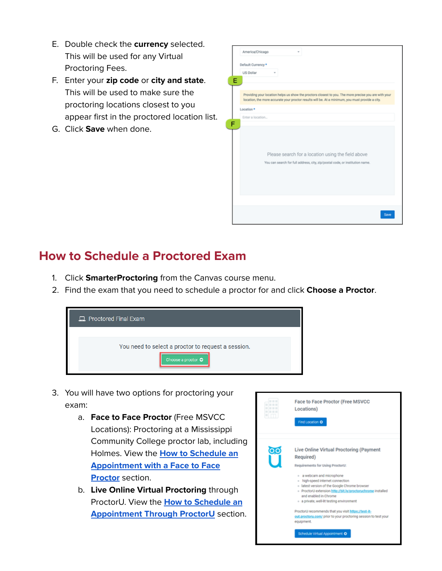- E. Double check the **currency** selected. This will be used for any Virtual Proctoring Fees.
- F. Enter your **zip code** or **city and state**. This will be used to make sure the proctoring locations closest to you appear first in the proctored location list.
- G. Click **Save** when done.

|   | America/Chicago                                                                                                                                                                                           |
|---|-----------------------------------------------------------------------------------------------------------------------------------------------------------------------------------------------------------|
|   | Default Currency *                                                                                                                                                                                        |
|   | US Dollar                                                                                                                                                                                                 |
| Е |                                                                                                                                                                                                           |
|   | Providing your location helps us show the proctors closest to you. The more precise you are with your<br>location, the more accurate your proctor results will be. At a minimum, you must provide a city. |
|   | Location *                                                                                                                                                                                                |
|   | Enter a location                                                                                                                                                                                          |
|   |                                                                                                                                                                                                           |
|   | Please search for a location using the field above                                                                                                                                                        |
|   | You can search for full address, city, zip/postal code, or institution name.                                                                                                                              |
|   |                                                                                                                                                                                                           |
|   |                                                                                                                                                                                                           |
|   |                                                                                                                                                                                                           |
|   |                                                                                                                                                                                                           |
|   |                                                                                                                                                                                                           |
|   | Save                                                                                                                                                                                                      |

## <span id="page-2-0"></span>**How to Schedule a Proctored Exam**

- 1. Click **SmarterProctoring** from the Canvas course menu.
- 2. Find the exam that you need to schedule a proctor for and click **Choose a Proctor**.



- 3. You will have two options for proctoring your exam:
	- a. **Face to Face Proctor** (Free MSVCC Locations): Proctoring at a Mississippi Community College proctor lab, including Holmes. View the **How to [Schedule](#page-3-0) an [Appointment](#page-3-0) with a Face to Face [Proctor](#page-3-0)** section.
	- b. **Live Online Virtual Proctoring** through ProctorU. View the **How to [Schedule](#page-5-0) an [Appointment](#page-5-0) Through ProctorU** section.

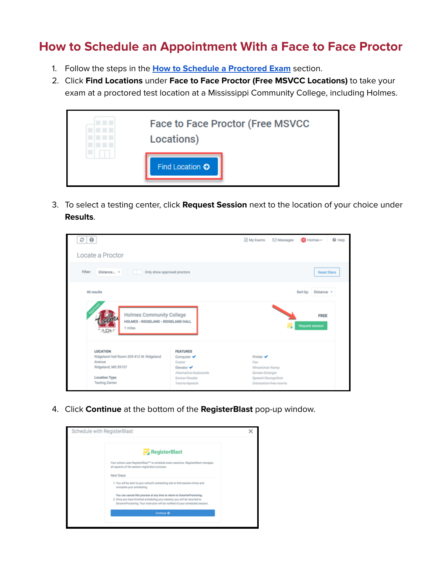#### <span id="page-3-0"></span>**How to Schedule an Appointment With a Face to Face Proctor**

- 1. Follow the steps in the **How to Schedule a [Proctored](#page-2-0) Exam** section.
- 2. Click **Find Locations** under **Face to Face Proctor (Free MSVCC Locations)** to take your exam at a proctored test location at a Mississippi Community College, including Holmes.



3. To select a testing center, click **Request Session** next to the location of your choice under **Results**.

| း စ                                                                                                                             |                                                                                                                   | <b>III</b> My Exams                                                          | <b>⊡</b> Messages      | <b>ID</b> Holmes -      | <b>Q</b> Help |
|---------------------------------------------------------------------------------------------------------------------------------|-------------------------------------------------------------------------------------------------------------------|------------------------------------------------------------------------------|------------------------|-------------------------|---------------|
| Locate a Proctor                                                                                                                |                                                                                                                   |                                                                              |                        |                         |               |
| Filter:<br>Distance v<br>Only show approved proctors                                                                            |                                                                                                                   |                                                                              |                        | <b>Reset filters</b>    |               |
| 46 results                                                                                                                      |                                                                                                                   |                                                                              |                        | Distance -<br>Sort by:  |               |
| Holmes Community College<br>HOLMES - RIDGELAND - RIDGELAND HALL<br>1 miles<br><b>ADN</b> "                                      |                                                                                                                   |                                                                              | z                      | FREE<br>Request session |               |
| LOCATION<br>Ridgeland Hall Room 209 412 W. Ridgeland<br>Avenue<br>Ridgeland, MS 39157<br>Location Type<br><b>Testing Center</b> | <b>FEATURES</b><br>Computer ↓<br>Copier<br>Elevator ✔<br>Alternative-Keyboards<br>Screen-Reader<br>Text-to-Speech | Printer V<br>Fax<br>Wheelphair Ramp<br>Screen-Enlarger<br>Speech-Recognition | Distraction-free-rooms |                         |               |

4. Click **Continue** at the bottom of the **RegisterBlast** pop-up window.

| Schedule with RegisterBlast                                                                                                                                                                                                             |  |
|-----------------------------------------------------------------------------------------------------------------------------------------------------------------------------------------------------------------------------------------|--|
| RegisterBlast                                                                                                                                                                                                                           |  |
| Your school uses RegisterBlast <sup>ra</sup> to schedule exam sessions. RegisterBlast manages<br>all aspects of the session registration process.                                                                                       |  |
| Next Steps                                                                                                                                                                                                                              |  |
| 1. You will be sent to your school's scheduling site to find session times and<br>complete your scheduling.                                                                                                                             |  |
| You can cancel this process at any time to return to SmarterProctoring.<br>2. Once you have finished scheduling your session, you will be returned to<br>SmarterProctoring. Your instructor will be notified of your scheduled session. |  |
| Continue O                                                                                                                                                                                                                              |  |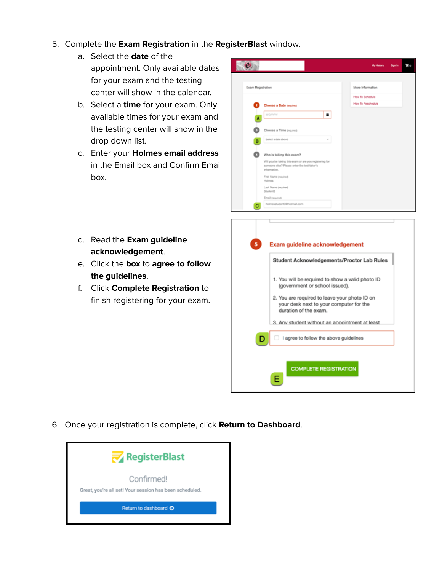- 5. Complete the **Exam Registration** in the **RegisterBlast** window.
	- a. Select the **date** of the appointment. Only available dates for your exam and the testing center will show in the calendar.
	- b. Select a **time** for your exam. Only available times for your exam and the testing center will show in the drop down list.
	- c. Enter your **Holmes email address** in the Email box and Confirm Email box.



- d. Read the **Exam guideline acknowledgement**.
- e. Click the **box** to **agree to follow the guidelines**.
- f. Click **Complete Registration** to finish registering for your exam.



6. Once your registration is complete, click **Return to Dashboard**.

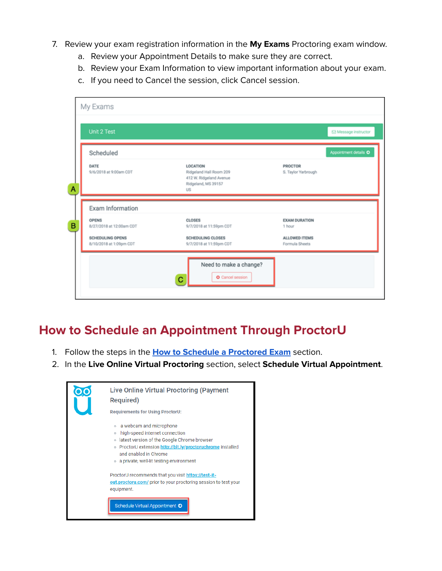- 7. Review your exam registration information in the **My Exams** Proctoring exam window.
	- a. Review your Appointment Details to make sure they are correct.
	- b. Review your Exam Information to view important information about your exam.
	- c. If you need to Cancel the session, click Cancel session.

| Unit 2 Test<br>Scheduled                                     |                                                                                             |                                 | Message instructor<br>Appointment details O |
|--------------------------------------------------------------|---------------------------------------------------------------------------------------------|---------------------------------|---------------------------------------------|
| DATE<br>9/6/2018 at 9:00am CDT                               | LOCATION<br>Ridgeland Hall Room 209<br>412 W. Ridgeland Avenue<br>Ridgeland, MS 39157<br>US | PROCTOR<br>S. Taylor Yarbrough  |                                             |
| Exam Information<br><b>OPENS</b><br>8/27/2018 at 12:00am CDT | <b>CLOSES</b><br>9/7/2018 at 11:59pm CDT                                                    | <b>EXAM DURATION</b><br>1 hour  |                                             |
| <b>SCHEDULING OPENS</b><br>8/10/2018 at 1:09pm CDT           | SCHEDULING CLOSES<br>9/7/2018 at 11:59pm CDT                                                | ALLOWED ITEMS<br>Formula Sheets |                                             |
|                                                              | Need to make a change?<br>O Cancel session                                                  |                                 |                                             |

#### <span id="page-5-0"></span>**How to Schedule an Appointment Through ProctorU**

- 1. Follow the steps in the **How to Schedule a [Proctored](#page-2-0) Exam** section.
- 2. In the **Live Online Virtual Proctoring** section, select **Schedule Virtual Appointment**.

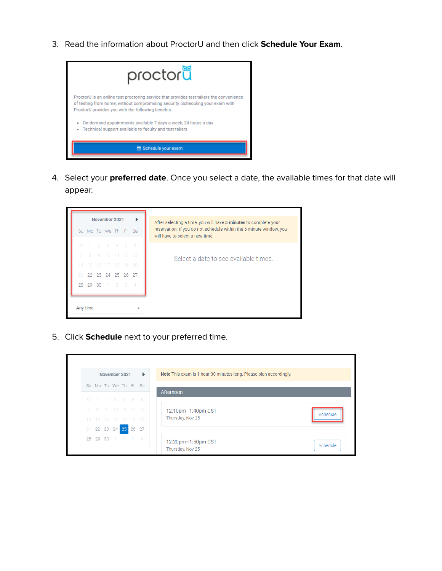3. Read the information about ProctorU and then click **Schedule Your Exam**.



4. Select your **preferred date**. Once you select a date, the available times for that date will appear.



5. Click **Schedule** next to your preferred time.

|    |    |    | November 2021 |                      | $\mathbf{r}$      | Note This exam is 1 hour 30 minutes long. Please plan accordingly. |
|----|----|----|---------------|----------------------|-------------------|--------------------------------------------------------------------|
|    |    |    |               | Su Mo Tu We Th Fr Sa |                   | Afternoon                                                          |
|    |    |    |               | 31 1 2 3 4 5 6       |                   |                                                                    |
|    |    |    |               |                      | 7 8 9 10 11 12 13 | 12:10pm-1:40pm CST                                                 |
|    |    |    |               | 14 15 16 17 18 19 20 |                   | Thursday, Nov 25                                                   |
|    |    |    |               | 21 22 23 24 25 26 27 |                   |                                                                    |
| 28 | 29 | 30 |               | $1 \t2 \t3 \t4$      |                   | 12:20pm-1:50pm CST<br>Thursday, Nov 25                             |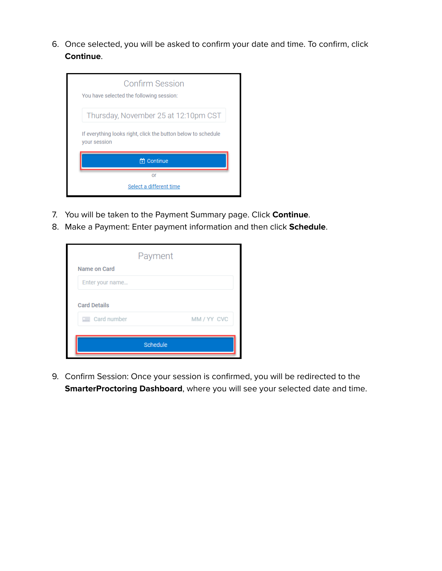6. Once selected, you will be asked to confirm your date and time. To confirm, click **Continue**.

| <b>Confirm Session</b><br>You have selected the following session:            |  |  |  |  |  |  |
|-------------------------------------------------------------------------------|--|--|--|--|--|--|
| Thursday, November 25 at 12:10pm CST                                          |  |  |  |  |  |  |
| If everything looks right, click the button below to schedule<br>your session |  |  |  |  |  |  |
| <b>T</b> Continue                                                             |  |  |  |  |  |  |
| or                                                                            |  |  |  |  |  |  |
| Select a different time                                                       |  |  |  |  |  |  |

- 7. You will be taken to the Payment Summary page. Click **Continue**.
- 8. Make a Payment: Enter payment information and then click **Schedule**.

|                     | Payment  |             |
|---------------------|----------|-------------|
| Name on Card        |          |             |
| Enter your name     |          |             |
| <b>Card Details</b> |          |             |
| Card number         |          | MM / YY CVC |
|                     |          |             |
|                     | Schedule |             |

9. Confirm Session: Once your session is confirmed, you will be redirected to the **SmarterProctoring Dashboard**, where you will see your selected date and time.